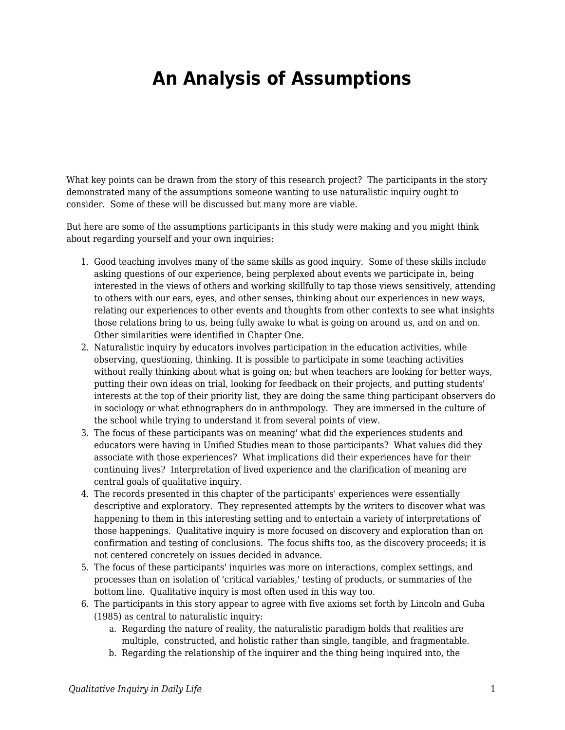## **An Analysis of Assumptions**

What key points can be drawn from the story of this research project? The participants in the story demonstrated many of the assumptions someone wanting to use naturalistic inquiry ought to consider. Some of these will be discussed but many more are viable.

But here are some of the assumptions participants in this study were making and you might think about regarding yourself and your own inquiries:

- 1. Good teaching involves many of the same skills as good inquiry. Some of these skills include asking questions of our experience, being perplexed about events we participate in, being interested in the views of others and working skillfully to tap those views sensitively, attending to others with our ears, eyes, and other senses, thinking about our experiences in new ways, relating our experiences to other events and thoughts from other contexts to see what insights those relations bring to us, being fully awake to what is going on around us, and on and on. Other similarities were identified in Chapter One.
- 2. Naturalistic inquiry by educators involves participation in the education activities, while observing, questioning, thinking. It is possible to participate in some teaching activities without really thinking about what is going on; but when teachers are looking for better ways, putting their own ideas on trial, looking for feedback on their projects, and putting students' interests at the top of their priority list, they are doing the same thing participant observers do in sociology or what ethnographers do in anthropology. They are immersed in the culture of the school while trying to understand it from several points of view.
- 3. The focus of these participants was on meaning' what did the experiences students and educators were having in Unified Studies mean to those participants? What values did they associate with those experiences? What implications did their experiences have for their continuing lives? Interpretation of lived experience and the clarification of meaning are central goals of qualitative inquiry.
- 4. The records presented in this chapter of the participants' experiences were essentially descriptive and exploratory. They represented attempts by the writers to discover what was happening to them in this interesting setting and to entertain a variety of interpretations of those happenings. Qualitative inquiry is more focused on discovery and exploration than on confirmation and testing of conclusions. The focus shifts too, as the discovery proceeds; it is not centered concretely on issues decided in advance.
- 5. The focus of these participants' inquiries was more on interactions, complex settings, and processes than on isolation of 'critical variables,' testing of products, or summaries of the bottom line. Qualitative inquiry is most often used in this way too.
- 6. The participants in this story appear to agree with five axioms set forth by Lincoln and Guba (1985) as central to naturalistic inquiry:
	- a. Regarding the nature of reality, the naturalistic paradigm holds that realities are multiple, constructed, and holistic rather than single, tangible, and fragmentable.
	- b. Regarding the relationship of the inquirer and the thing being inquired into, the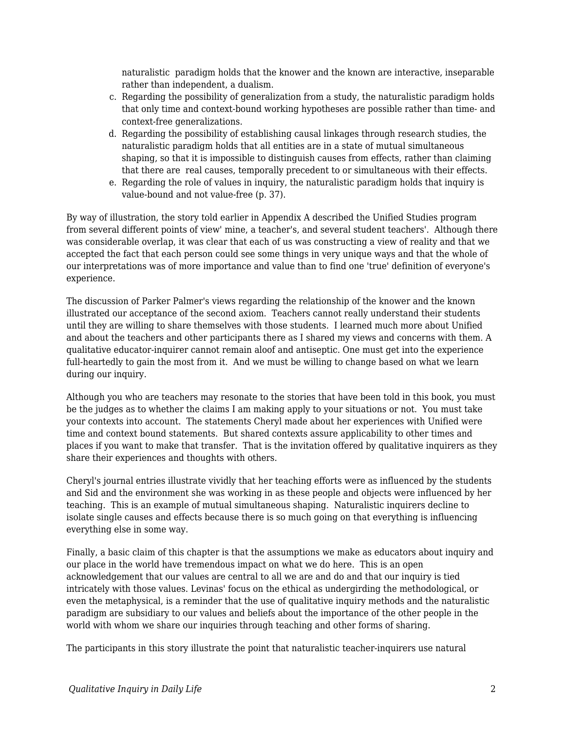naturalistic paradigm holds that the knower and the known are interactive, inseparable rather than independent, a dualism.

- c. Regarding the possibility of generalization from a study, the naturalistic paradigm holds that only time and context-bound working hypotheses are possible rather than time- and context-free generalizations.
- d. Regarding the possibility of establishing causal linkages through research studies, the naturalistic paradigm holds that all entities are in a state of mutual simultaneous shaping, so that it is impossible to distinguish causes from effects, rather than claiming that there are real causes, temporally precedent to or simultaneous with their effects.
- e. Regarding the role of values in inquiry, the naturalistic paradigm holds that inquiry is value-bound and not value-free (p. 37).

By way of illustration, the story told earlier in Appendix A described the Unified Studies program from several different points of view' mine, a teacher's, and several student teachers'. Although there was considerable overlap, it was clear that each of us was constructing a view of reality and that we accepted the fact that each person could see some things in very unique ways and that the whole of our interpretations was of more importance and value than to find one 'true' definition of everyone's experience.

The discussion of Parker Palmer's views regarding the relationship of the knower and the known illustrated our acceptance of the second axiom. Teachers cannot really understand their students until they are willing to share themselves with those students. I learned much more about Unified and about the teachers and other participants there as I shared my views and concerns with them. A qualitative educator-inquirer cannot remain aloof and antiseptic. One must get into the experience full-heartedly to gain the most from it. And we must be willing to change based on what we learn during our inquiry.

Although you who are teachers may resonate to the stories that have been told in this book, you must be the judges as to whether the claims I am making apply to your situations or not. You must take your contexts into account. The statements Cheryl made about her experiences with Unified were time and context bound statements. But shared contexts assure applicability to other times and places if you want to make that transfer. That is the invitation offered by qualitative inquirers as they share their experiences and thoughts with others.

Cheryl's journal entries illustrate vividly that her teaching efforts were as influenced by the students and Sid and the environment she was working in as these people and objects were influenced by her teaching. This is an example of mutual simultaneous shaping. Naturalistic inquirers decline to isolate single causes and effects because there is so much going on that everything is influencing everything else in some way.

Finally, a basic claim of this chapter is that the assumptions we make as educators about inquiry and our place in the world have tremendous impact on what we do here. This is an open acknowledgement that our values are central to all we are and do and that our inquiry is tied intricately with those values. Levinas' focus on the ethical as undergirding the methodological, or even the metaphysical, is a reminder that the use of qualitative inquiry methods and the naturalistic paradigm are subsidiary to our values and beliefs about the importance of the other people in the world with whom we share our inquiries through teaching and other forms of sharing.

The participants in this story illustrate the point that naturalistic teacher-inquirers use natural